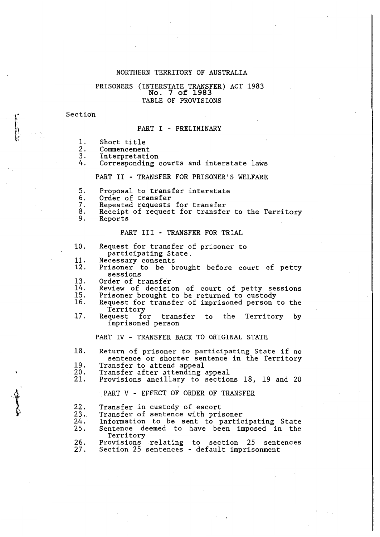## NORTHERN TERRITORY OF AUSTRALIA

# **No. 7 of 1983** PRISONERS (INTERSTATE TRANSFER) ACT 1983 TABLE OF PROVISIONS

#### Section

# PART I - PRELIMINARY

- 1. Short title
- 2. Commencement
- 3. Interpretation
- 4. Corresponding courts and interstate laws

#### PART II - TRANSFER FOR PRISONER'S WELFARE

- 5. Proposal to transfer interstate
- 6. Order of transfer<br>7. Repeated requests
- 
- 7. Repeated requests for transfer 8. Receipt of request for transfer to the Territory
- Reports

 $\sqrt{\frac{1}{2}}$ 

'

# PART III - TRANSFER FOR TRIAL

- 10. Request for transfer of prisoner to participating State,
- 11. Necessary consents
- 12. Prisoner to be brought before court of petty<br>sessions sessions<br>Order of transfer
- 13.
- 14. 15. Review of decision of court of petty sessions Prisoner brought to be returned to custody
- 16. Request for transfer of imprisoned person to the
- 17. Request for transfer to the Territory by imprisoned person

PART IV - TRANSFER BACK TO ORIGINAL STATE

- 18. Return of prisoner to participating State if no sentence or shorter sentence in the Territory<br>Transfer to attend appeal<br>Transfer after attending appeal<br>Provisions ancillary to sections 18, 19 and 20
- 19.
- 20.
- 21.

PART V - EFFECT OF ORDER OF TRANSFER

22.

Transfer in custody of escort<br>Transfer of sentence with prisoner

 $\frac{23}{24}$ . Information to be sent to participating State

25. Sentence deemed to have been imposed in the

26. 27. Provisions relating to section 25 sentences Section 25 sentences - default imprisonment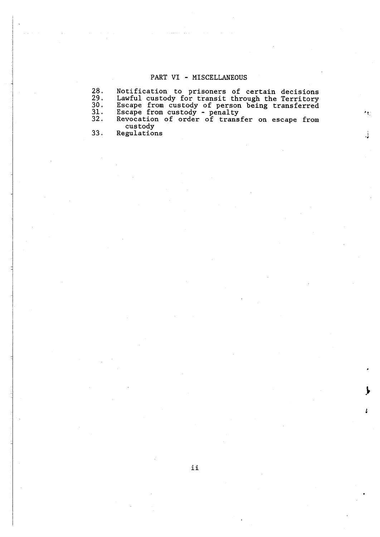# PART VI - MISCELLANEOUS

28. 29. 30. 31. 32. Notification to prisoners of certain decisions Lawful custody for transit through the Territory Escape from custody of person being transferred Escape from custody - penalty Revocation of order of transfer on escape from custody

> j ..

33. Regulations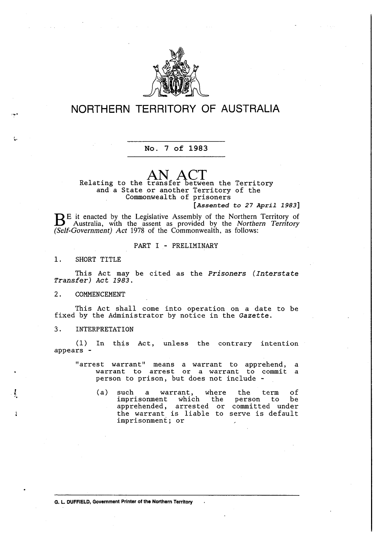

# **NORTHERN TERRITORY OF AUSTRALIA**

# **No. 7 of 1983**

**AN ACT**  Relating to the transfer between the Territory and *a* State or another Territory of the Commonwealth of prisoners

**[***Assented to 27 April 1983***]**

BE it enacted by the Legislative Assembly of the Northern Territory of Australia with the correct of Australia, with the assent as provided by the *Northern Territory (Self-Government) Act* 1978 of the Commonwealth, as follows:

#### PART I - PRELIMINARY

1. SHORT TITLE

,.,..

*l*  ..

This Act may be cited as the *Prisoners ( Interstate Transfer) Act 1983.* 

# 2. COMMENCEMENT

This Act shall come into operation on *a* date to be fixed by the Administrator by notice in the *Gazette.* 

# 3. INTERPRETATION

(1) In this Act, unless the contrary intention appears -

"arrest warrant" means *a* warrant to apprehend, a warrant to arrest or *a* warrant to commit a person to prison, but does not include -

(a) such a warrant, where the term of<br>imprisonment which the person to be imprisonment which apprehended, arrested or committed under the warrant is liable to serve is default imprisonment; or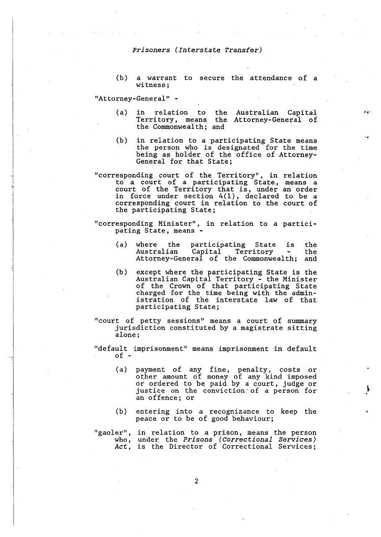(b) a warrant to secure the attendance of <sup>a</sup> witness;

"Attorney-General" -

(a) in relation to the Australian Capital Territory, means the Attorney-General of the Commonwealth; and

 $A$ 

- (b) in relation to *a* participating State means the person who is designated for the time being as holder of the office of Attorney-General for that State;
- "corresponding court of the Territory", in relation to *a* court of *a* participating State, means *a*  court of the Territory that is, under an order in force under section 4(1), declared to be a corresponding court in relation to the court of corresponding court in relation to the court of<br>the participating State;

"corresponding Minister", in relation to *a* participating State, means -

- (a) where the participating State is Capital Territory Attorney-General of the Commonwealth; and the the
- (b) except where the participating State is the Australian Capital Territory - the Minister of the Crown of that participating State charged for the time being with the administration of the interstate law of that participating State;
- "court of petty sessions" means *a* court of summary jurisdiction constituted by *a* magistrate sitting alone;
- "default imprisonment" means imprisonment in default of -
	- (a) payment of any fine, penalty, costs or other amount of money of any kind imposed or ordered to be paid by *a* court, judge or justice on the conviction· of *a* person for an offence; or
	- (b) entering into *a* recognizance to keep the peace or to be of good behaviour;
- "gaoler", in relation to *a* prison, means the person who, *Act,*  under the *Prisons (Correctional Services)*  is the Director of Correctional Services;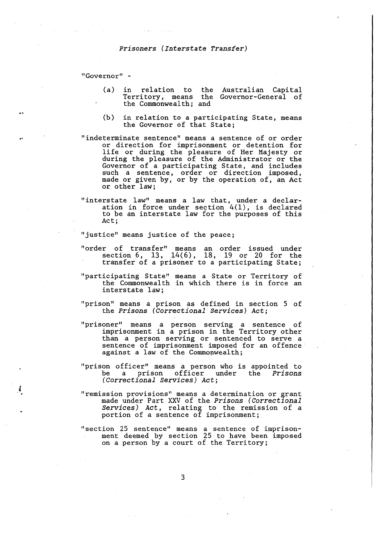"Governor" -

*l* 

- (a) in relation to the Australian Capital Territory, means the Governor-General of the Commonwealth; and
- (b) in relation to a participating State, means the Governor of that State;
- "indeterminate sentence" means a sentence of or order or direction for imprisonment or detention for life or during the pleasure of Her Majesty or during the pleasure of the Administrator or the Governor of a participating State, and includes such a sentence, order or direction imposed, made or given by, or by the operation of, an Act or other law;
- "interstate law" means a law that, under a declaration in force under section  $4(1)$ , is declared to be an interstate law for the purposes of this Act;

"justice" means justice of the peace;

- "order of transfer" means an order issued under section 6, 13, 14(6), 18, 19 or 20 for the transfer of a prisoner to a participating State;
- "participating State" means a State or Territory of the Commonwealth in which there is in force an interstate law;
- "prison" means a prison as defined in section 5 of the *Prisons (Correctional Services) Act;*
- "prisoner" means a person serving a sentence of imprisonment in a prison in the Territory other than a person serving or sentenced to serve a sentence of imprisonment imposed for an offence against a law of the Commonwealth;
- "prison officer" means a person who is appointed to be a prison officer under the *Prisons (Correctional Services) Act;*
- "remission provisions" means a determination or grant made under Part XXV of the *Prisons (Correctional Services) Act,* relating to the remission of a portion of a sentence of imprisonment;
- "section 25 sentence" means a sentence of imprisonment deemed by section 25 to have been imposed on a person by a court of the Territory;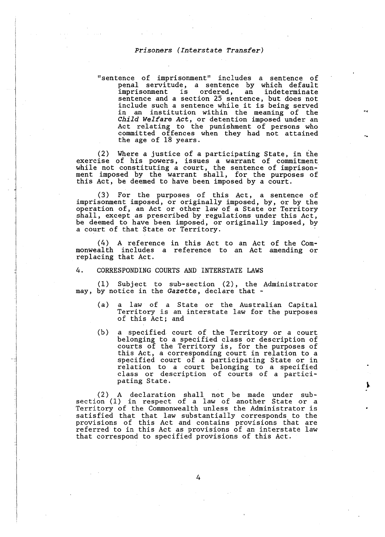"sentence of imprisonment" includes a sentence of penal servitude, a sentence by which default imprisonment is ordered, an indeterminate sentence and a section 25 sentence, but does not include such a sentence while it is being served in an institution within the meaning of the *Child Welfare Act,* or detention imposed under an Act relating to the punishment of persons who committed offences when they had not attained the age of 18 years.

(2) Where a justice of a participating State, in the exercise of his powers, issues a warrant of commitment while not constituting a court, the sentence of imprisonment imposed by the warrant shall, for the purposes of this Act, be deemed to have been imposed by a court.

(3) For the purposes of this Act, a sentence of imprisonment imposed, or originally imposed, by, or by the operation of, an Act or other law of a State or Territory shall, except as prescribed by regulations under this Act, be deemed to have been imposed, or originally imposed, by a court of that State or Territory.

(4) A reference in this Act to an Act of the Commonwealth includes a reference to an Act amending or replacing that Act.

#### 4. CORRESPONDING COURTS AND INTERSTATE LAWS

(1) Subject to sub-section (2), the Administrator may, by notice in the Gazette, declare that -

- (a) a law of a State or the Australian Capital Territory is an interstate law for the purposes of this Act; and
- (b) a specified court of the Territory or a court belonging to a specified class or description of courts of the Territory is, for the purposes of this Act, a corresponding court in relation to a specified court of a participating State or in relation to a court belonging to a specified class or description of courts of a participating State.

(2) A declaration shall not be made under subsection (1) in respect of a law of another State or a Territory of the Commonwealth unless the Administrator is satisfied that that law substantially corresponds to the provisions of this Act and contains provisions that are referred to in this Act as provisions of an interstate law that correspond to specified provisions of this Act.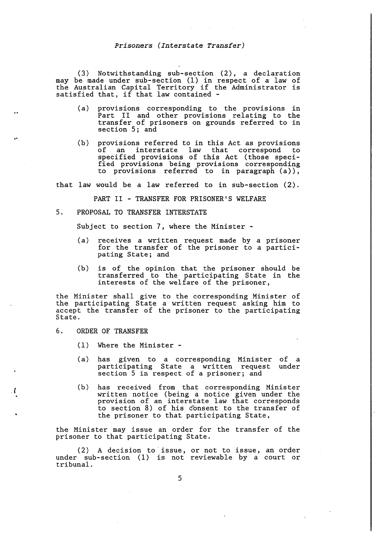(3) Notwithstanding sub-section (2), a declaration may be made under sub-section (1) in respect of a law of the Australian Capital Territory if the Administrator is satisfied that, if that law contained -

- (a) provisions corresponding to the provisions in Part II and other provisions relating to the transfer of prisoners on grounds referred to in section *5;* and
- (b) provisions referred to in this Act as provisions of an interstate law that correspond to specified provisions of this Act (those specified provisions being provisions corresponding to provisions referred to in paragraph (a)),

that law would be a law referred to in sub-section (2).

PART II - TRANSFER FOR PRISONER'S WELFARE

5, PROPOSAL TO TRANSFER INTERSTATE

Subject to section 7, where the Minister -

- (a) receives a written request made by a prisoner for the transfer of the prisoner to a participating State; and
- (b) is of the opinion that the prisoner should be transferred to the participating State in the interests of the welfare of the prisoner,

the Minister shall give to the corresponding Minister of the participating State a written request asking him to accept the transfer of the prisoner to the participating State.

#### 6. ORDER OF TRANSFER

*.l* 

- (1) Where the Minister -
- (a) has given to a corresponding Minister participating State a written request section 5 in respect of a prisoner; and of a under
- (b) has received from that corresponding Minister written notice (being a notice given under the provision of an interstate law that corresponds to section 8) of his consent to the transfer of the prisoner to that participating State,

the Minister may issue an order for the transfer of the prisoner to that participating State.

( 2) A decision to · issue, or not to issue, an order under sub-section  $(1)$  is not reviewable by a court or tribunal.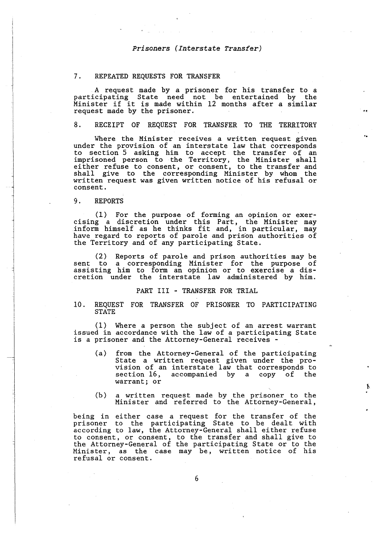#### 7. REPEATED REQUESTS FOR TRANSFER

A request made by a prisoner for his transfer to a participating State need not be entertained by the Minister if it is made within 12 months after a similar request made by the prisoner.

.,

# 8. RECEIPT OF REQUEST FOR TRANSFER TO THE TERRITORY

Where the Minister receives a written request given under the provision of an interstate law that corresponds to section 5 asking him to accept the transfer of an imprisoned person to the Territory, the Minister shall either refuse to consent, or consent, to the transfer and shall give to the corresponding Minister by whom the written request was given written notice of his refusal or consent.

#### 9. REPORTS

( 1) For the purpose of forming an opinion or exercising a discretion under this Part, the Minister may inform himself as he thinks fit and, in particular, may have regard to reports of parole and prison authorities of the Territory and of any participating State.

(2) Reports of parole and prison authorities may be sent to a corresponding Minister for the purpose of assisting him to form an opinion or to exercise a discretion under the interstate law administered by him.

#### PART III - TRANSFER FOR TRIAL

#### 10. REQUEST FOR TRANSFER OF PRISONER TO PARTICIPATING STATE

(1) Where a person the subject of an arrest warrant issued in accordance with the law of a participating State is a prisoner and the Attorney-General receives -

- (a) from the Attorney-General of the participating State a written request given under the provision of an interstate law that corresponds to section  $16$ , accompanied by a copy of warrant; or
- (b) a written request made by the prisoner to the Minister and referred to the Attorney-General,

being in either case a request for the transfer of the prisoner to the participating State to be dealt with according to law, the Attorney-General shall either refuse to consent, or consent, to the transfer and shall give to the Attorney-General of the participating State or to the Minister, as the case may be, written notice of his refusal or consent.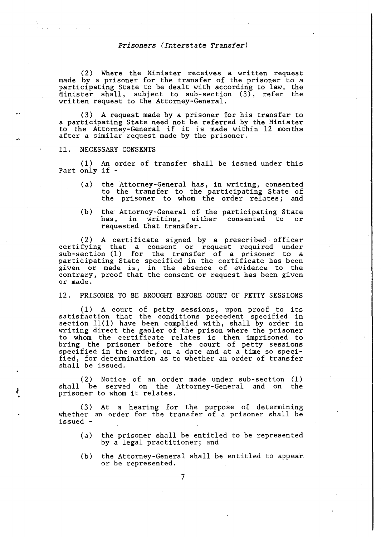(2) Where the Minister receives a written request made by a prisoner for the transfer of the prisoner to a participating State to be dealt with according to law, the Minister shall, subject to sub-section (3), refer the written request to the Attorney-General.

(3) A request made by a prisoner for his transfer to a participating State need not be referred by the Minister to the Attorney-General if it is made within 12 months after a similar request made by the prisoner.

#### 11. NECESSARY CONSENTS

*l* 

(1) An order of transfer shall be issued under this Part only if -

- (a) the Attorney-General has, in writing, consented to the transfer to the participating State of the prisoner to whom the order relates; and
- (b) the Attorney-General of the participating State has, in writing, either consented to or requested that transfer.

(2) A certificate signed by a prescribed officer certifying that a consent or request required under sub-section (1) for the transfer of a prisoner to a participating State specified in the certificate has been participating state specified in the certificate has seen<br>given or made is, in the absence of evidence to the contrary, proof that the consent or request has been given or made.

12. PRISONER TO BE BROUGHT BEFORE COURT OF PETTY SESSIONS

(1) A court of petty sessions, upon proof to its satisfaction that the conditions precedent specified in section 11(1) have been complied with, shall by order in writing direct the gaoler of the prison where the prisoner to whom the certificate relates is then imprisoned to bring the prisoner before the court of petty sessions specified in the order, on a date and at a time so specified, for determination as to whether an order of transfer shall be issued.

(2) Notice of an order made under sub-section (1) shall be served on the Attorney-General and on the prisoner to whom it relates.

( 3) At a hearing for the purpose of determining whether an order for the transfer of a prisoner shall be issued -

- (a) the prisoner shall be entitled to be represented by a legal practitioner; and
- (b) the Attorney-General shall be entitled to appear or be represented.

7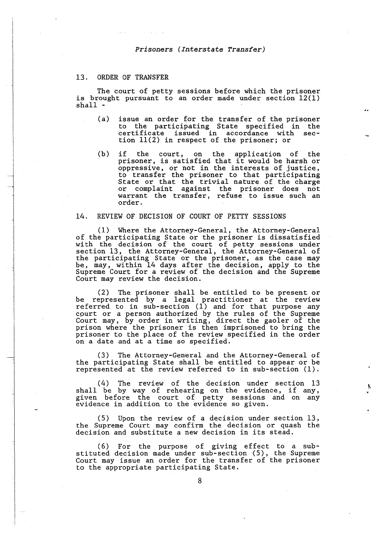# 13. ORDER OF TRANSFER

The court of petty sessions before which the prisoner is brought pursuant to an order made under section 12(1) shall -

- (a) issue an order for the transfer of the prisoner to the participating State specified in the certificate issued in accordance with sec- tion 11(2) in respect of the prisoner; or
- (b) if the court, on the application of the prisoner, is satisfied that it would be harsh or oppressive, or not in the interests of justice, oppressive, or not in the interests of justice,<br>to transfer the prisoner to that participating State or that the trivial nature. of the charge or complaint against the prisoner does not warrant the transfer, refuse to issue such an order.

#### 14. REVIEW OF DECISION OF COURT OF PETTY SESSIONS

(1) Where the Attorney-General, the Attorney-General of the participating State or the prisoner is dissatisfied with the decision of the court of petty sessions under section 13, the Attorney-General, the Attorney-General of the participating State or the prisoner, as the case may be, may, within 14 days after the decision, apply to the Supreme Court for a review of the decision and the Supreme Court may review the decision.

(2) The prisoner shall be entitled to be present or be represented by a legal practitioner at the review referred to in sub-section (1) and for that purpose any cpurt or a person authorized by the rules of the Supreme Court may, by order in writing, direct the gaoler of the prison where the prisoner is then imprisoned to bring the prisoner to the place of the review specified in the order on a date and at a time so specified.

(3) The Attorney-General and the Attorney-General of the participating State shall be entitled to appear or be represented at the review referred to in sub-section (1).

(4) The review of the decision under section 13 shall be by way of rehearing on the evidence, if any, given before the court of petty sessions and on any evidence in addition to the evidence so given.

(5) Upon the review of a decision under section 13, the Supreme Court may confirm the decision or quash the decision and substitute *a* new decision in its stead.

( 6) For the purpose of giving effect to a substituted decision made under sub-section (5), the Supreme Court may issue an order for the transfer of the prisoner to the appropriate participating State.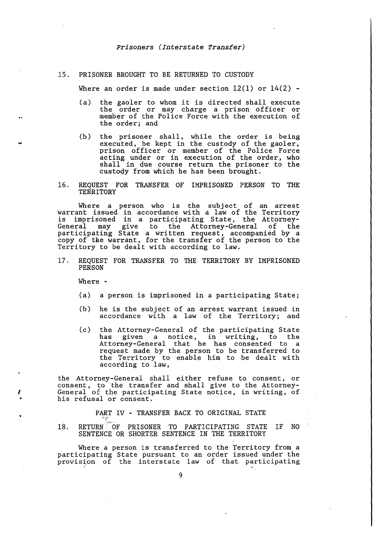# 15. PRISONER BROUGHT TO BE RETURNED TO CUSTODY

Where an order is made under section  $12(1)$  or  $14(2)$  -

- (a) the gaoler to whom it is directed shall execute the order or may charge a prison officer or member of the Police Force with the execution of the order; and
- (b) the prisoner shall, while the order is being executed, be kept in the custody of the gaoler, prison officer or member of the Police Force acting under or in execution of the order, who shall in due course return the prisoner to the custody from which he has been brought.
- 16. REQUEST FOR TRANSFER OF IMPRISONED PERSON TO THE **TERRITORY**

Where a person who is the subject of an arrest warrant issued in accordance with a law of the Territory is imprisoned in a participating State, the Attorney-General may give to the Attorney-General of the participating State a written request, accompanied by a copy of the warrant, for the transfer of the person to the Territory to be dealt with according to law.

17 . REQUEST FOR TRANSFER TO THE TERRITORY BY IMPRISONED PERSON

Where -

*I* 

- (a) a person is imprisoned in a participating State;
- (b) he is the subject of an arrest warrant issued in accordance with a law of the Territory; and
- (c) the Attorney-General of the participating State has given a notice, in writing, to the Attorney-General that he has consented to a request made by the person to be transferred to the Territory to enable him to be dealt with according to law,

the Attorney-General shall either refuse to consent, or consent, to the transfer and shall give to the Attorney-General of the participating State notice, in writing, of his refusal or consent.

PART IV - TRANSFER BACK TO ORIGINAL STATE

18. RETURN OF PRISONER TO PARTICIPATING STATE IF NO SENTENCE OR SHORTER SENTENCE IN THE TERRITORY

Where a person is transferred to the Territory from a participating State pursuant to an order issued under the provision of the interstate law of that participating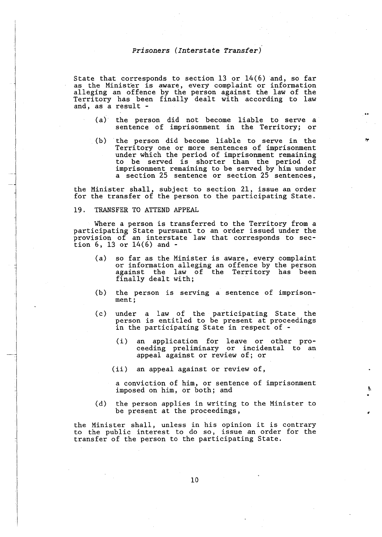State that corresponds to section  $13$  or  $14(6)$  and, so far as the Minister is aware, every complaint or information alleging an offence by the person against the law of the Territory has been finally dealt with according to law and, as a result -

- (a) the person did not become liable to serve a sentence of imprisonment in the Territory; or
- (b) the person did become liable to serve in the Territory one or more sentences of imprisonment under which the period of imprisonment remaining to be served is shorter than the period of imprisonment remaining to be served by him under a section 25 sentence or section 25 sentences,

the Minister shall, subject to section 21, issue an order for the transfer of the person to the participating State.

#### 19. TRANSFER TO ATTEND APPEAL

Where a person is transferred to the Territory from a participating State pursuant to an order issued under the provision of an interstate law that corresponds to sec- tion 6, 13 or 14(6) and -

- (a) so far as the Minister is aware, every complaint or information alleging an offence by the person against the law of the Territory has been finally dealt with;
- (b) the person is serving a sentence of imprisonment;
- (c) under a law of the participating State the person is entitled to be present at proceedings in the participating State in respect of -
	- (i) an application for leave or other proceeding preliminary or incidental to an appeal against or review of; or
	- (ii) an appeal against or review of,

a conviction of him, or sentence of imprisonment imposed on him, or both; and

(d) the person applies in writing to the Minister to be present at the proceedings,

the Minister shall, unless in his opinion it is contrary to the public interest to do so, issue an order for the transfer of the person to the participating State.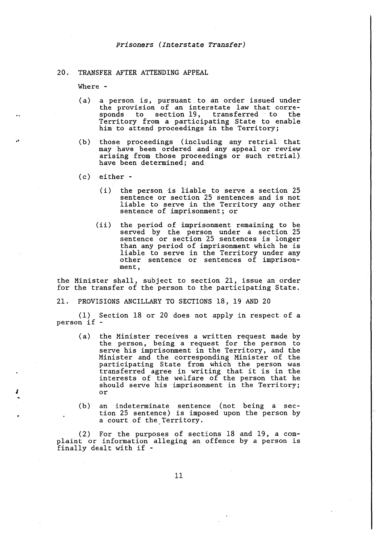#### 20. TRANSFER AFTER ATTENDING APPEAL

Where -

- (a) a person is, pursuant to an order issued under the provision of an interstate law that corre- sponds to section 19, transferred to the sponds to section 19, transferred to the<br>Territory from a participating State to enable him to attend proceedings in the Territory;
- (b) those proceedings ( including any retrial that may have been ordered and any appeal or review arising from those proceedings or such retrial) have been determined; and
- (c) either
	- ( i) the person is liable to serve a section 25 sentence or section 25 sentences and is not liable to serve in the Territory any other sentence of imprisonment; or
	- (ii) the period of imprisonment remaining to be served by the person under a section 25 sentence or section 25 sentences is longer than any period of imprisonment which he is liable to serve in the Territory under any other sentence or sentences of imprisonment,

the Minister shall, subject to section 21, issue an order for the transfer of the person to the participating State.

21. PROVISIONS ANCILLARY TO SECTIONS 18, 19 AND 20

(1) Section 18 or 20 does not apply in respect of a person if -

- (a) the Minister receives a written request made by the person, being a request for the person to serve his imprisonment in the Territory, and the Minister and the corresponding Minister of the participating State from which the person was participating state from which the person was<br>transferred agree in writing that it is in the interests of the welfare of the person that he should serve his imprisonment in the Territory;<br>or *I* or
	- (b) an indeterminate sentence (not being a section 25 sentence) is imposed upon the person by a court of the Territory.

(2) For the purposes of sections 18 and 19, a complaint or information alleging an offence by a person is finally dealt with if -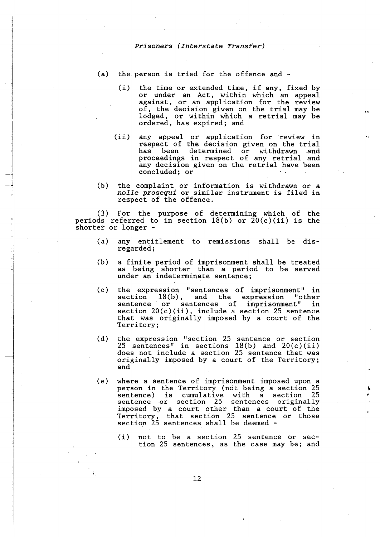- (a) the person is tried for the offence and
	- (i) the time or extended time, if any, fixed by or under an Act, within which an appeal against, or an application for the review of, the decision given on the trial may be lodged, or within which a retrial may be ordered, has expired; and
	- (ii) any appeal or application for review in respect of the decision given on the trial has been determined or withdrawn and proceedings in respect of any retrial and any decision given on the retrial have been concluded; or
- (b) the complaint or information is withdrawn or a *nolle prosequi* or similar instrument is filed in respect of the offence.

(3) For the purpose of determining which of the periods referred to in section  $18(b)$  or  $20(c)(ii)$  is the shorter or longer -

- (a) any entitlement to remissions shall be disregarded;
- (b) a finite period of imprisonment shall be treated as being shorter than a period to be served under an indeterminate sentence;
- (c) the expression "sentences of imprisonment" in section 18(b), and the expression "other sentence or sentences of imprisonment" in section 20(c)(ii), include a section 25 sentence that was originally imposed by a court of the Territory;
- (d) the expression "section 25 sentence or section  $25$  sentences" in sections  $18(b)$  and  $20(c)(ii)$ does not include a section 25 sentence that was originally imposed by a court of the Territory; and
- (e) where a sentence of imprisonment imposed upon a person in the Territory (not being a section 25 sentence) is cumulative with a section 25 sentence or section 25 sentences originally imposed by a court other than a court of the Territory, that section 25 sentence or those section 25 sentences shall be deemed -
	- ( i) not to be a section 25 sentence or section 25 sentences, as the case may be; and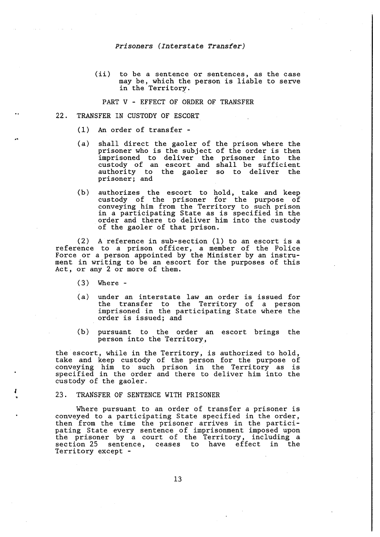(ii) to be a sentence or sentences, as the case may be, which the person is liable to serve in the Territory.

PART V - EFFECT OF ORDER OF TRANSFER

- 22. TRANSFER IN CUSTODY OF ESCORT
	- (1) An order of transfer -
	- (a) shall direct the gaoler of the prison where the prisoner who is the subject of the order is then imprisoned to deliver the prisoner into the custody of an escort and shall be sufficient authority to the gaoler so to deliver the authority to<br>prisoner; and
	- (b) authorizes the escort to hold, take and keep custody of the prisoner for the purpose of conveying him from the Territory to such prison in a participating State as is specified in the order and there to deliver him into the custody of the gaoler of that prison.

(2) A reference in sub-section (1) to an escort is a reference to a prison officer, a member of the Police Force or a person appointed by the Minister by an instrument in writing to be an escort for the purposes of this Act, or any 2 or more of them.

(3) Where -

!<br>'

- (a) under an interstate law an order is issued for the transfer to the Territory of a person imprisoned in the participating State where the order is issued; and
- (b) pursuant to the order an escort brings the person into the Territory,

the escort, while in the Territory, is authorized to hold, take and keep custody of the person for the purpose of conveying him to such prison in the Territory as is specified in the order and there to deliver him into the custody of the gaoler.

#### 23. TRANSFER OF SENTENCE WITH PRISONER

Where pursuant to an order of transfer a prisoner is conveyed to a participating State specified in the order, then from the time the prisoner arrives in the participating State every sentence of imprisonment imposed upon the prisoner by a court of the Territory, including a section 25 sentence, ceases to have effect in the Territory except -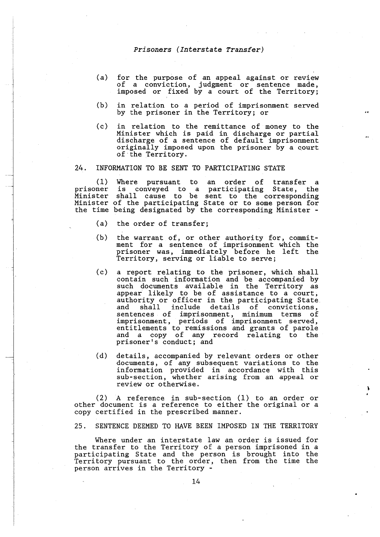- (a) for the purpose of an appeal against or review of a conviction, judgment or sentence made, imposed or fixed by a court of the Territory;
- (b) in relation to a period of imprisonment served by the prisoner in the Territory; or
- (c) in relation to the remittance of money to the Minister which is paid in discharge or partial discharge of a sentence of default imprisonment originally imposed upon the prisoner by a court of the Territory.

# 24. INFORMATION TO BE SENT TO PARTICIPATING STATE

(1) prisoner Minister Minister of the participating State or to some person for the time being designated by the corresponding Minister - Where pursuant to an order of transfer a is conveyed to a participating State, the shall cause to be sent to the corresponding

- (a) the order of transfer;
- $(b)$ the warrant of, or other authority for, commitment for a sentence of imprisonment which the prisoner was, immediately before he left the Territory, serving or liable to serve;
- $(c)$ a report relating to the prisoner, which shall contain such information and be accompanied by such documents available in the Territory as appear likely to be of assistance to a court, authority or officer in the participating State and shall include details of convictions, sentences of imprisonment, minimum terms of imprisonment, periods of imprisonment served, entitlements to remissions and grants of parole and a copy of any record relating to the prisoner's conduct; and
- (d) details, accompanied by relevant orders or other documents, of any subsequent variations to the information provided in accordance with this sub-section, whether arising from an appeal or review or otherwise.

(2) A reference in sub-section (1) to an order or other document is a reference to either the original or a copy certified in the prescribed manner.

25. SENTENCE DEEMED TO HAVE BEEN IMPOSED IN THE TERRITORY

Where under an interstate law an order is issued for the transfer to the Territory of a person imprisoned in a participating State and the person is brought into the Territory pursuant to the order, then from the time the person arrives in the Territory -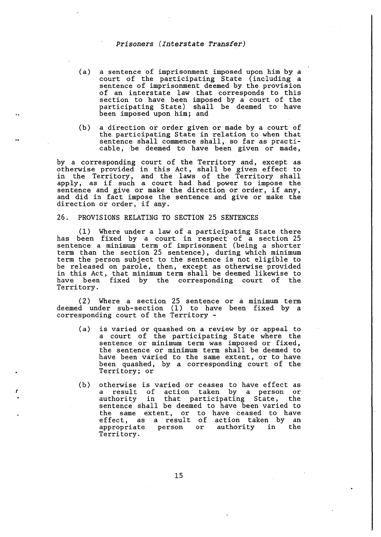- (a) a sentence of imprisonment imposed upon him by a court of the participating State (including a sentence of imprisonment deemed by the provision of an interstate law that corresponds to this section to have been imposed by a court of the participating State) shall be deemed to have been imposed upon him; and
- (b) a direction or order given or made by a court of the participating State in relation to when that sentence shall commence shall, so far as practicable, be deemed to have been given or made,

by a corresponding court of the Territory and, except as otherwise provided in this Act, shall be given effect to in the Territory, and the laws of the Territory shall apply, as if such a court had had power to impose the sentence and give or make the direction or order, if any, and did in fact impose the sentence and give or make the direction or order, if any.

#### 26. PROVISIONS RELATING TO SECTION 25 SENTENCES

 $(1)$  Where under a law of a participating State there has been fixed by a court in respect of a section 25 sentence a minimum term of imprisonment (being a shorter term than the section 25 sentence), during which minimum term the person subject to the sentence is not eligible to be released on parole, then, except as otherwise provided in this Act, that minimum term shall be deemed likewise to have been fixed by the corresponding court of the Territory.

(2) Where a section 25 sentence or a minimum term deemed under sub-section (1) to have been fixed by a corresponding court of the Territory -

- (a) is varied or quashed on a review by or appeal to a court of the participating State where the sentence or minimum term was imposed or fixed, the sentence or minimum term shall be deemed to have been varied to the same extent, or to have been quashed, by a corresponding court of the Territory; or
- (b) otherwise is varied or ceases to have effect as<br>a result of action taken by a person or a result of action taken by a person or in that participating State, sentence shall be deemed to have been varied to the same extent, or to have ceased to have effect, as a result of action taken by an<br>appropriate person or authority in the or authority Territory.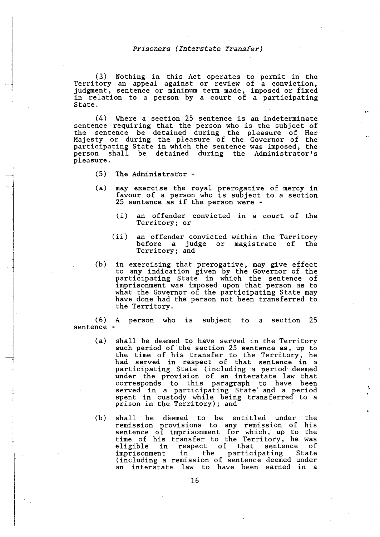(3) Nothing in this Act operates to permit in the Territory an appeal against or review of a conviction, judgment, sentence or minimum term made, imposed or fixed in relation to a person by a court of a participating State.

(4) Where a section 25 sentence is an indeterminate sentence requiring that the person who is the subject of the sentence be detained during the pleasure of Her Majesty or during the pleasure of the Governor of the participating State in which the sentence was imposed, the person shall be detained during the Administrator's pleasure.

- (5) The Administrator -
- (a) may exercise the royal prerogative of mercy in favour of a person who is subject to a section 25 sentence as if the person were -
	- (i) an offender convicted in a court of the Territory; or
	- (ii) an offender convicted within the Territory before a judge or magistrate of the Territory; and
- (b) in exercising that prerogative, may give effect to any indication given by the Governor of the participating State in which the sentence of imprisonment was imposed upon that person as to what the Governor of the participating State may have done had the person not been transferred to the Territory.

(6) A person who is subject to a section 25 sentence -

- (a) shall be deemed to have served in the Territory such period of the section 25 sentence as, up to the time of his transfer to the Territory, he had served in respect of that sentence in a participating State (including a period deemed under the provision of an interstate law that corresponds to this paragraph to have been served in a participating State and a period spent in custody while being transferred to a prison in the Territory); and
- (b) shall be deemed to be entitled under the remission provisions to any remission of his sentence of imprisonment for which, up to the time of his transfer to the Territory, he was eligible in respect of that sentence of imprisonment in the participating State (including a remission of sentence deemed under an interstate law to have been earned in a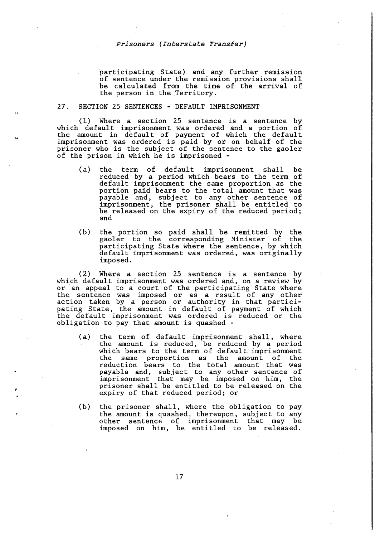participating State) and any further remission of sentence under the remission provisions shall be calculated from the time of the arrival of the person in the Territory.

#### 27. SECTION 25 SENTENCES - DEFAULT IMPRISONMENT

(1) Where a section 25 sentence is a sentence by which default imprisonment was ordered and a portion of the amount in default of payment of which the default imprisonment was ordered is paid by or on behalf of the prisoner who is the subject of the sentence to the gaoler of the prison in which he is imprisoned -

- (a) the term of default imprisonment shall be reduced by a period which bears to the term of default imprisonment the same proportion as the portion paid bears to the total amount that was payable and, subject to any other sentence of imprisonment, the prisoner shall be entitled to be released on the expiry of the reduced period; and
- ( b) the portion so paid shall be remitted by the gaoler to the corresponding Minister of the participating State where the sentence, by which default imprisonment was ordered, was originally imposed.

(2) Where a section 25 sentence is a sentence by which default imprisonment was ordered and, on a review by or an appeal to a court of the participating State where the sentence was imposed or as a result of any other action taken by a person or authority in that participating State, the amount in default of payment of which the default imprisonment was ordered is reduced or the obligation to pay that amount is quashed -

- (a) the term of default imprisonment shall, where the amount is reduced, be reduced by a period which bears to the term of default imprisonment the same proportion as the amount of the reduction bears to the total amount that was payable and, subject to any other sentence of imprisonment that may be imposed on him, the prisoner shall be entitled to be released on the expiry of that reduced period; or
- (b) the prisoner shall, where the obligation to pay the amount is quashed, thereupon, subject to any other sentence of imprisonment that may be imposed on him, be entitled to be released.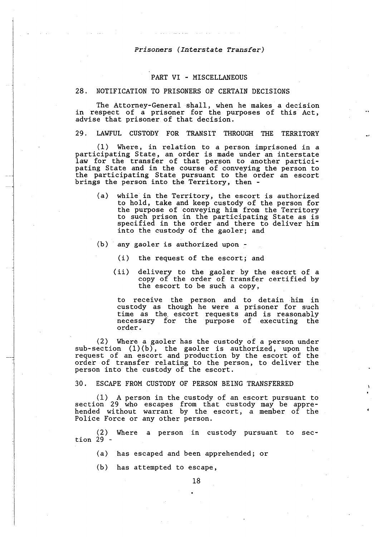## PART VI - MISCELLANEOUS

#### 28. NOTIFICATION TO PRISONERS OF CERTAIN DECISIONS

The Attorney-General shall, when he makes a decision in respect of a prisoner for the purposes of this Act, advise that prisoner of that decision.

29. LAWFUL CUSTODY FOR TRANSIT THROUGH THE TERRITORY

( 1) Where, in relation to a person imprisoned in a participating State, an order is made under an interstate law for the transfer of that person to another participating State and in the course of conveying the person to the participating State pursuant to the order an escort brings the person into the Territory, then -

- (a) while in the Territory, the escort is authorized to hold, take and keep custody of the person for the purpose of conveying him from the Territory to such prison in the participating State as is specified in the order and there to deliver him into the custody of the gaoler; and
- (b) any gaoler is authorized upon
	- (i) the request of the escort; and
	- (ii) delivery to the gaoler by the escort of a copy of the order of transfer certified by the escort to be such a copy,

to receive the person and to detain him in custody as though he were a prisoner for such time as the. escort requests and is reasonably necessary for the purpose of executing the order.

(2) Where a gaoler has the custody of a person under sub-section (1)(b), the gaoler is authorized, upon the request of an escort and production by the escort of the order of transfer relating to the person, to deliver the person into the custody of the escort.

30. ESCAPE FROM CUSTODY OF PERSON BEING TRANSFERRED

(1) A person in the custody of an escort pursuant to section 29 who escapes from that custody may be apprehended without warrant by the escort, a member of the Police Force or any other person.

(2) Where a person in custody pursuant to sec- $\[\text{tion}\]2\]$  -

(a) has escaped and been apprehended; or

(b) has attempted to escape,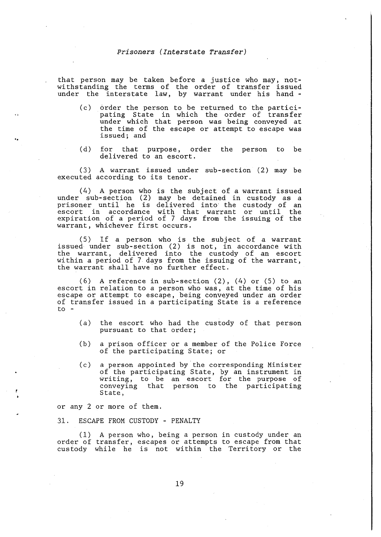that person may be taken before a justice who may, notwithstanding the terms of the order of transfer issued under the interstate law, by warrant under his hand -

- (c) order the person to be returned to the participating State in which the order of transfer under which that person was being conveyed at the time of the escape or attempt to escape was issued; and
- (d) for that purpose, order the person to be delivered to an escort.

(3) A warrant issued under sub-section (2) may be executed according to its tenor.

(4) A person who is the subject of a warrant issued under sub-section (2) may be detained in custody as a prisoner until he is delivered into· the custody of an escort in accordance with that warrant or until the expiration of a period of 7 days from the issuing of the warrant, whichever first occurs.

(5) If a person who is the subject of a warrant issued under sub-section (2) is not, in accordance with the warrant, delivered into the custody of an escort within a period of 7 days from the issuing of the warrant, the warrant shall have no further effect.

(6) A reference in sub-section (2), (4) or (5) to an escort in relation to a person who was, at the time of his escape or attempt to escape, being conveyed under an order of transfer issued in a participating State is a reference  $\mathbf{t}$  o  $\mathbf{-}$ 

- (a) the escort who had the custody of that person pursuant to that order;
- (b) a prison officer or a member of the Police Force of the participating State; or
- (c) a person appointed by the corresponding Minister of the participating State, by an instrument in writing, to be an escort for the purpose of conveying that person to the participating State,

or any 2 or more of them.

31. ESCAPE FROM CUSTODY - PENALTY

(1) A person who, being a person in custody under an order of transfer, escapes or attempts to escape from that custody while he is not within the Territory or the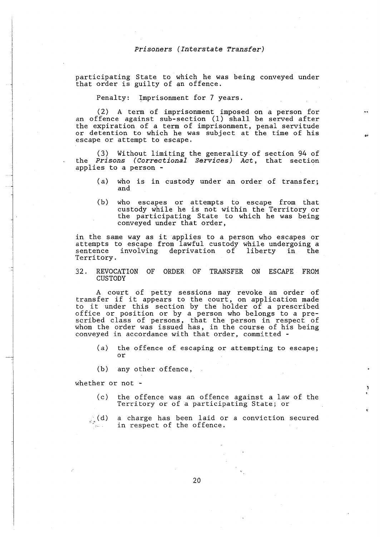participating State to which he was being conveyed under that order is guilty of an offence.

Penalty: Imprisonment for 7 years.

(2) A term of imprisonment imposed on *a* person for an offence against sub-section (1) shall be served after the expiration of *a* term of imprisonment, penal servitude or detention to which he was subject at the time of his escape or attempt to escape,

(3) Without limiting the generality of section 94 of the *Prisons (Correctional Services) Act,* that section applies to *a* person -

- ( a) who is in custody under an order of transfer; and
- (b) who escapes or attempts to escape from that custody while he is not within the Territory or the participating State to which he was being conveyed under that order,

in the same way as it applies to *a* person who escapes or attempts to escape from lawful custody while undergoing *<sup>a</sup>*sentence involving deprivation of liberty in the Territory.

32. REVOCATION OF ORDER OF TRANSFER ON ESCAPE FROM CUSTODY

A court of petty sessions may revoke an order of transfer if it appears to the court, on application made to it under this section by the holder of *a* prescribed office or position or by *a* person who belongs to a prescribed class of persons, that the person in respect of whom the order was issued has, in the course of his being conveyed in accordance with that order, committed -

- (a) the offence of escaping or attempting to escape; or
- (b) any other offence,

whether or not -

- (c) the offence was an offence against *a* law of the Territory or of *a* participating State; or
- (d) a charge has been laid or *a* conviction secured in respect of the offence.